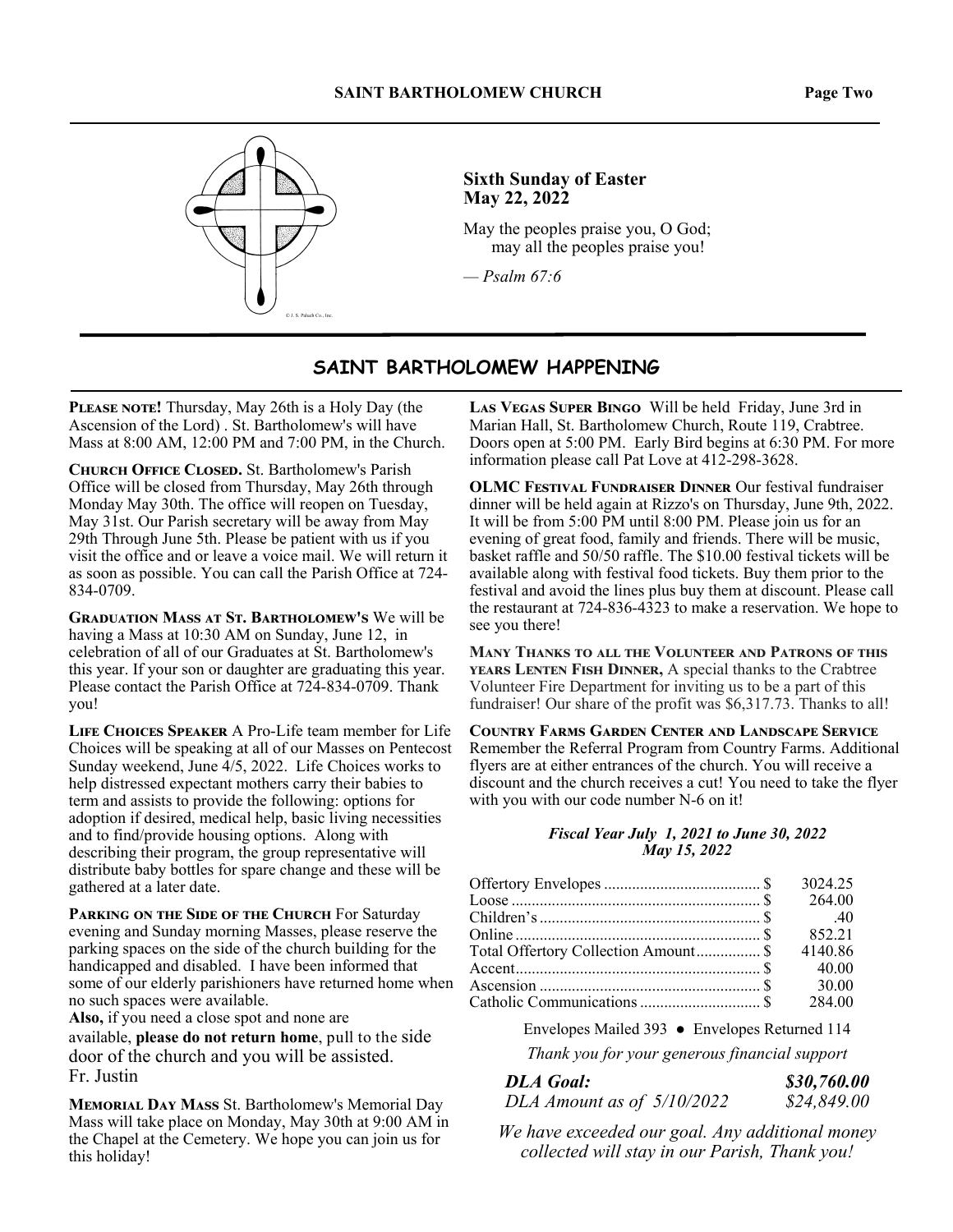

#### **Sixth Sunday of Easter May 22, 2022**

May the peoples praise you, O God; may all the peoples praise you!

*— Psalm 67:6*

#### **SAINT BARTHOLOMEW HAPPENING**

PLEASE NOTE! Thursday, May 26th is a Holy Day (the Ascension of the Lord) . St. Bartholomew's will have Mass at 8:00 AM, 12:00 PM and 7:00 PM, in the Church.

**СНИКСН ОFFICE CLOSED.** St. Bartholomew's Parish Office will be closed from Thursday, May 26th through Monday May 30th. The office will reopen on Tuesday, May 31st. Our Parish secretary will be away from May 29th Through June 5th. Please be patient with us if you visit the office and or leave a voice mail. We will return it as soon as possible. You can call the Parish Office at 724- 834-0709.

**GRADUATION MASS AT ST. BARTHOLOMEW'S We will be** having a Mass at 10:30 AM on Sunday, June 12, in celebration of all of our Graduates at St. Bartholomew's this year. If your son or daughter are graduating this year. Please contact the Parish Office at 724-834-0709. Thank you!

LIFE CHOICES SPEAKER A Pro-Life team member for Life Choices will be speaking at all of our Masses on Pentecost Sunday weekend, June 4/5, 2022. Life Choices works to help distressed expectant mothers carry their babies to term and assists to provide the following: options for adoption if desired, medical help, basic living necessities and to find/provide housing options. Along with describing their program, the group representative will distribute baby bottles for spare change and these will be gathered at a later date.

PARKING ON THE SIDE OF THE CHURCH For Saturday evening and Sunday morning Masses, please reserve the parking spaces on the side of the church building for the handicapped and disabled. I have been informed that some of our elderly parishioners have returned home when no such spaces were available.

**Also,** if you need a close spot and none are available, **please do not return home**, pull to the side door of the church and you will be assisted. Fr. Justin

**MEMORIAL DAY MASS St. Bartholomew's Memorial Day** Mass will take place on Monday, May 30th at 9:00 AM in the Chapel at the Cemetery. We hope you can join us for this holiday!

LAS VEGAS SUPER BINGO Will be held Friday, June 3rd in Marian Hall, St. Bartholomew Church, Route 119, Crabtree. Doors open at 5:00 PM. Early Bird begins at 6:30 PM. For more information please call Pat Love at 412-298-3628.

**OLMC FESTIVAL FUNDRAISER DINNER Our festival fundraiser** dinner will be held again at Rizzo's on Thursday, June 9th, 2022. It will be from 5:00 PM until 8:00 PM. Please join us for an evening of great food, family and friends. There will be music, basket raffle and 50/50 raffle. The \$10.00 festival tickets will be available along with festival food tickets. Buy them prior to the festival and avoid the lines plus buy them at discount. Please call the restaurant at 724-836-4323 to make a reservation. We hope to see you there!

**MANY THANKS TO ALL THE VOLUNTEER AND PATRONS OF THIS** YEARS LENTEN FISH DINNER, A special thanks to the Crabtree Volunteer Fire Department for inviting us to be a part of this fundraiser! Our share of the profit was \$6,317.73. Thanks to all!

**COUNTRY FARMS GARDEN CENTER AND LANDSCAPE SERVICE** Remember the Referral Program from Country Farms. Additional flyers are at either entrances of the church. You will receive a discount and the church receives a cut! You need to take the flyer with you with our code number N-6 on it!

#### *Fiscal Year July 1, 2021 to June 30, 2022 May 15, 2022*

|                                      | 3024.25 |
|--------------------------------------|---------|
|                                      | 264.00  |
|                                      |         |
|                                      | 852.21  |
| Total Offertory Collection Amount \$ | 4140.86 |
|                                      | 40.00   |
|                                      | 30.00   |
|                                      | 284.00  |

Envelopes Mailed 393 ● Envelopes Returned 114

*Thank you for your generous financial support* 

| <b>DLA Goal:</b>           | \$30,760.00 |
|----------------------------|-------------|
| DLA Amount as of 5/10/2022 | \$24,849.00 |

*We have exceeded our goal. Any additional money collected will stay in our Parish, Thank you!*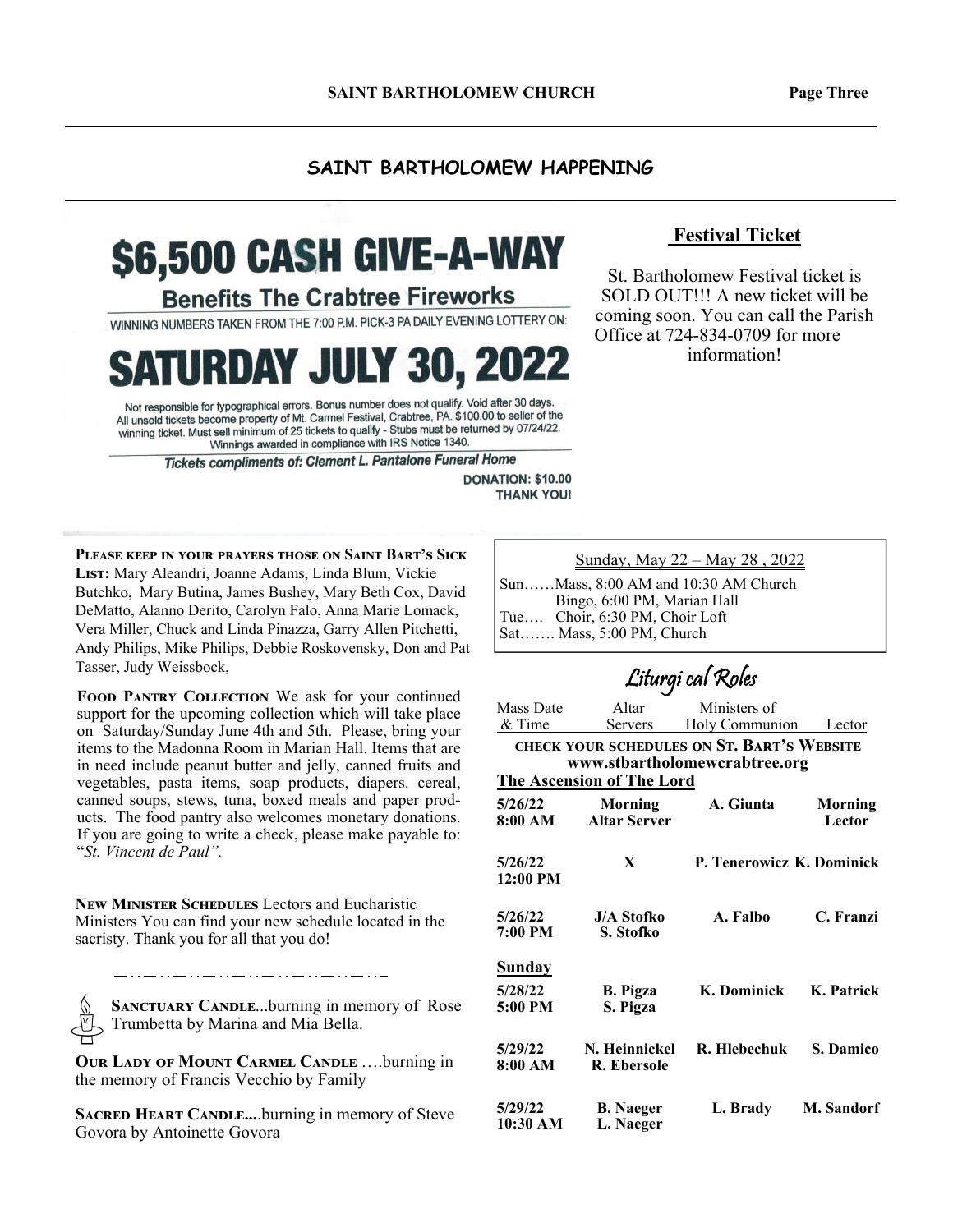#### **SAINT BARTHOLOMEW HAPPENING**

# \$6,500 CASH GIVE-A-WAY

**Benefits The Crabtree Fireworks** 

WINNING NUMBERS TAKEN FROM THE 7:00 P.M. PICK-3 PA DAILY EVENING LOTTERY ON:

**SATURDAY JULY 30, 2022** 

Not responsible for typographical errors. Bonus number does not qualify. Void after 30 days. All unsold tickets become property of Mt. Carmel Festival, Crabtree, PA. \$100.00 to seller of the winning ticket. Must sell minimum of 25 tickets to qualify - Stubs must be returned by 07/24/22. Winnings awarded in compliance with IRS Notice 1340.

Tickets compliments of: Clement L. Pantalone Funeral Home

**DONATION: \$10.00 THANK YOU!** 

**PLEASE KEEP IN YOUR PRAYERS THOSE ON SAINT BART'S SICK** LIST: Mary Aleandri, Joanne Adams, Linda Blum, Vickie Butchko, Mary Butina, James Bushey, Mary Beth Cox, David DeMatto, Alanno Derito, Carolyn Falo, Anna Marie Lomack, Vera Miller, Chuck and Linda Pinazza, Garry Allen Pitchetti, Andy Philips, Mike Philips, Debbie Roskovensky, Don and Pat Tasser, Judy Weissbock,

FOOD PANTRY COLLECTION We ask for your continued support for the upcoming collection which will take place on Saturday/Sunday June 4th and 5th. Please, bring your items to the Madonna Room in Marian Hall. Items that are in need include peanut butter and jelly, canned fruits and vegetables, pasta items, soap products, diapers. cereal, canned soups, stews, tuna, boxed meals and paper products. The food pantry also welcomes monetary donations. If you are going to write a check, please make payable to: "*St. Vincent de Paul".* 

**NEW MINISTER SCHEDULES** Lectors and Eucharistic Ministers You can find your new schedule located in the sacristy. Thank you for all that you do!

**SANCTUARY CANDLE...burning in memory of Rose** Trumbetta by Marina and Mia Bella.

**OUR LADY OF MOUNT CARMEL CANDLE ....burning in** the memory of Francis Vecchio by Family

**SACRED HEART CANDLE....burning in memory of Steve** Govora by Antoinette Govora

Sunday, May 22 – May 28 , 2022

Sun……Mass, 8:00 AM and 10:30 AM Church Bingo, 6:00 PM, Marian Hall Tue…. Choir, 6:30 PM, Choir Loft Sat……. Mass, 5:00 PM, Church

# Liturgi cal Roles

| Mass Date                        | Altar               | Ministers of                               |                   |  |
|----------------------------------|---------------------|--------------------------------------------|-------------------|--|
| & Time                           | <u>Servers</u>      | Holy Communion Lector                      |                   |  |
|                                  |                     | CHECK YOUR SCHEDULES ON ST. BART'S WEBSITE |                   |  |
|                                  |                     | www.stbartholomewcrabtree.org              |                   |  |
| <b>The Ascension of The Lord</b> |                     |                                            |                   |  |
| 5/26/22                          | Morning             | A. Giunta                                  | Morning           |  |
| 8:00 AM                          | <b>Altar Server</b> |                                            | Lector            |  |
|                                  |                     |                                            |                   |  |
| 5/26/22                          | X                   | P. Tenerowicz K. Dominick                  |                   |  |
| 12:00 PM                         |                     |                                            |                   |  |
|                                  |                     |                                            |                   |  |
| 5/26/22                          | <b>J/A Stofko</b>   | A. Falbo                                   | C. Franzi         |  |
| 7:00 PM                          | S. Stofko           |                                            |                   |  |
|                                  |                     |                                            |                   |  |
| <u>Sunday</u>                    |                     |                                            |                   |  |
| 5/28/22                          | <b>B.</b> Pigza     | K. Dominick                                | K. Patrick        |  |
| 5:00 PM                          | S. Pigza            |                                            |                   |  |
|                                  |                     |                                            |                   |  |
| 5/29/22                          | N. Heinnickel       | R. Hlebechuk                               | <b>S. Damico</b>  |  |
| 8:00 AM                          | R. Ebersole         |                                            |                   |  |
|                                  |                     |                                            |                   |  |
| 5/29/22                          | <b>B.</b> Naeger    | L. Brady                                   | <b>M. Sandorf</b> |  |
| 10:30 AM                         | L. Naeger           |                                            |                   |  |

#### **Festival Ticket**

St. Bartholomew Festival ticket is SOLD OUT!!! A new ticket will be coming soon. You can call the Parish Office at 724-834-0709 for more information!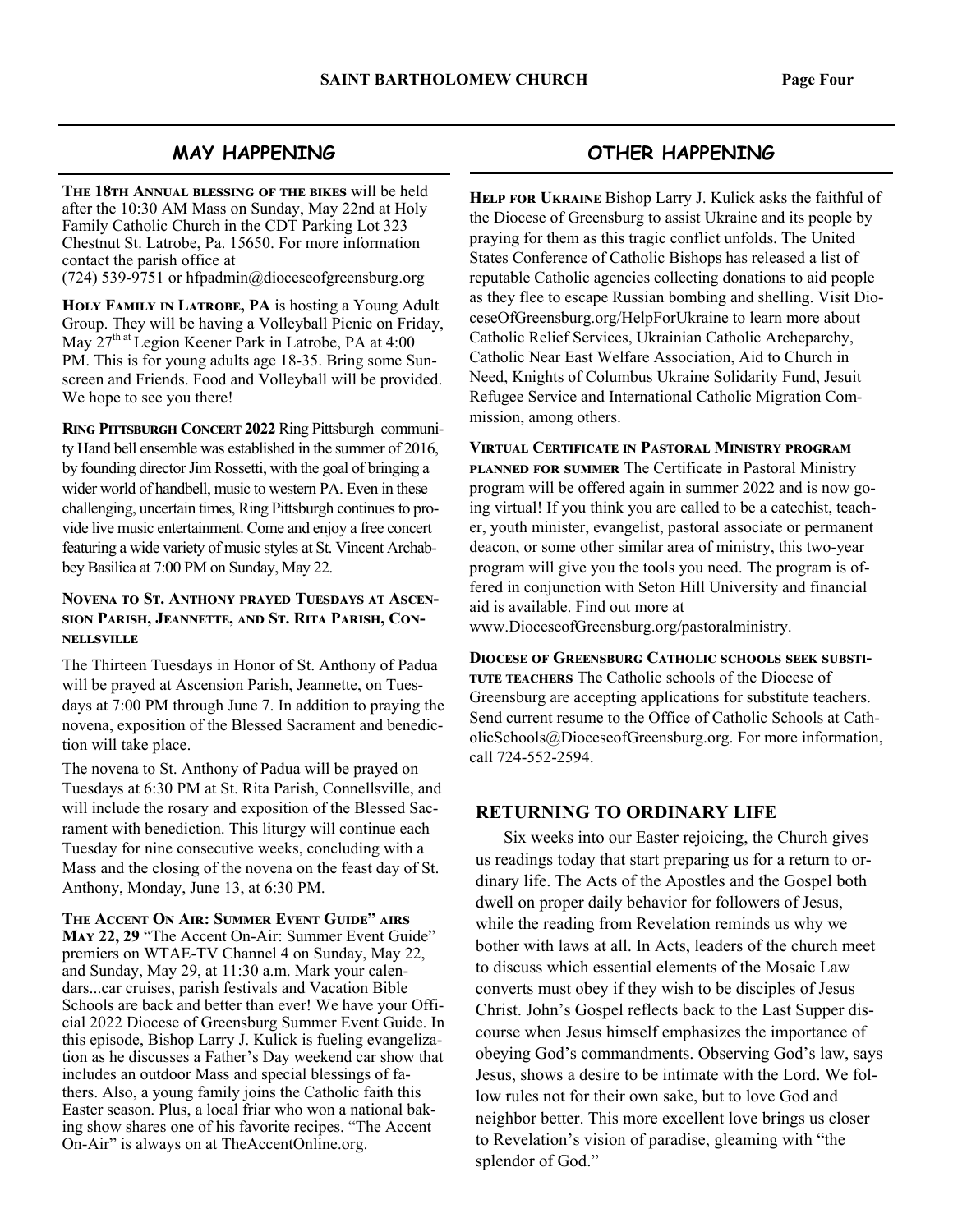#### **MAY HAPPENING**

THE 18TH ANNUAL BLESSING OF THE BIKES will be held after the 10:30 AM Mass on Sunday, May 22nd at Holy Family Catholic Church in the CDT Parking Lot 323 Chestnut St. Latrobe, Pa. 15650. For more information contact the parish office at

(724) 539-9751 or hfpadmin@dioceseofgreensburg.org

HOLY FAMILY IN LATROBE, PA is hosting a Young Adult Group. They will be having a Volleyball Picnic on Friday, May 27<sup>th at</sup> Legion Keener Park in Latrobe, PA at 4:00 PM. This is for young adults age 18-35. Bring some Sunscreen and Friends. Food and Volleyball will be provided. We hope to see you there!

RING PITTSBURGH CONCERT 2022 Ring Pittsburgh community Hand bell ensemble was established in the summer of 2016, by founding director Jim Rossetti, with the goal of bringing a wider world of handbell, music to western PA. Even in these challenging, uncertain times, Ring Pittsburgh continues to provide live music entertainment. Come and enjoy a free concert featuring a wide variety of music styles at St. Vincent Archabbey Basilica at 7:00 PM on Sunday, May 22.

#### **NOVENA TO ST. ANTHONY PRAYED TUESDAYS AT ASCEN-**SION PARISH, JEANNETTE, AND ST. RITA PARISH, CON-**NELLSVILLE**

The Thirteen Tuesdays in Honor of St. Anthony of Padua will be prayed at Ascension Parish, Jeannette, on Tuesdays at 7:00 PM through June 7. In addition to praying the novena, exposition of the Blessed Sacrament and benediction will take place.

The novena to St. Anthony of Padua will be prayed on Tuesdays at 6:30 PM at St. Rita Parish, Connellsville, and will include the rosary and exposition of the Blessed Sacrament with benediction. This liturgy will continue each Tuesday for nine consecutive weeks, concluding with a Mass and the closing of the novena on the feast day of St. Anthony, Monday, June 13, at 6:30 PM.

**THE ACCENT ON AIR: SUMMER EVENT GUIDE" AIRS** May 22, 29 "The Accent On-Air: Summer Event Guide" premiers on WTAE-TV Channel 4 on Sunday, May 22, and Sunday, May 29, at 11:30 a.m. Mark your calendars...car cruises, parish festivals and Vacation Bible Schools are back and better than ever! We have your Official 2022 Diocese of Greensburg Summer Event Guide. In this episode, Bishop Larry J. Kulick is fueling evangelization as he discusses a Father's Day weekend car show that includes an outdoor Mass and special blessings of fathers. Also, a young family joins the Catholic faith this Easter season. Plus, a local friar who won a national baking show shares one of his favorite recipes. "The Accent On-Air" is always on at TheAccentOnline.org.

### **OTHER HAPPENING**

HELP FOR UKRAINE Bishop Larry J. Kulick asks the faithful of the Diocese of Greensburg to assist Ukraine and its people by praying for them as this tragic conflict unfolds. The United States Conference of Catholic Bishops has released a list of reputable Catholic agencies collecting donations to aid people as they flee to escape Russian bombing and shelling. Visit DioceseOfGreensburg.org/HelpForUkraine to learn more about Catholic Relief Services, Ukrainian Catholic Archeparchy, Catholic Near East Welfare Association, Aid to Church in Need, Knights of Columbus Ukraine Solidarity Fund, Jesuit Refugee Service and International Catholic Migration Commission, among others.

**VIRTUAL CERTIFICATE IN PASTORAL MINISTRY PROGRAM PLANNED FOR SUMMER** The Certificate in Pastoral Ministry program will be offered again in summer 2022 and is now going virtual! If you think you are called to be a catechist, teacher, youth minister, evangelist, pastoral associate or permanent deacon, or some other similar area of ministry, this two-year program will give you the tools you need. The program is offered in conjunction with Seton Hill University and financial aid is available. Find out more at

www.DioceseofGreensburg.org/pastoralministry.

**DIOCESE OF GREENSBURG CATHOLIC SCHOOLS SEEK SUBSTI-**TUTE TEACHERS The Catholic schools of the Diocese of Greensburg are accepting applications for substitute teachers. Send current resume to the Office of Catholic Schools at CatholicSchools@DioceseofGreensburg.org. For more information, call 724-552-2594.

#### **RETURNING TO ORDINARY LIFE**

 Six weeks into our Easter rejoicing, the Church gives us readings today that start preparing us for a return to ordinary life. The Acts of the Apostles and the Gospel both dwell on proper daily behavior for followers of Jesus, while the reading from Revelation reminds us why we bother with laws at all. In Acts, leaders of the church meet to discuss which essential elements of the Mosaic Law converts must obey if they wish to be disciples of Jesus Christ. John's Gospel reflects back to the Last Supper discourse when Jesus himself emphasizes the importance of obeying God's commandments. Observing God's law, says Jesus, shows a desire to be intimate with the Lord. We follow rules not for their own sake, but to love God and neighbor better. This more excellent love brings us closer to Revelation's vision of paradise, gleaming with "the splendor of God."